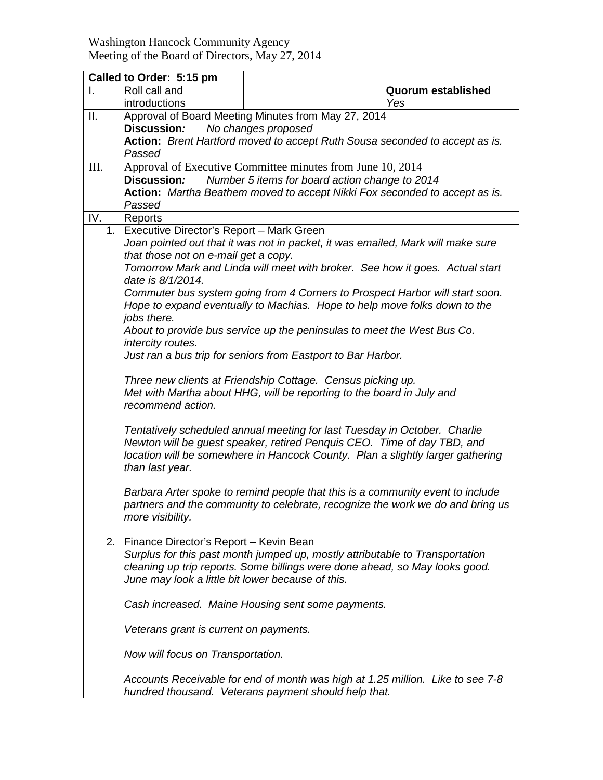Washington Hancock Community Agency Meeting of the Board of Directors, May 27, 2014

| Called to Order: 5:15 pm |                                                                                                                                                                                                                                                                                                                                                                                                                                                                                                                                                                                                                                                                                                                                                                                   |  |                                  |
|--------------------------|-----------------------------------------------------------------------------------------------------------------------------------------------------------------------------------------------------------------------------------------------------------------------------------------------------------------------------------------------------------------------------------------------------------------------------------------------------------------------------------------------------------------------------------------------------------------------------------------------------------------------------------------------------------------------------------------------------------------------------------------------------------------------------------|--|----------------------------------|
| I.                       | Roll call and<br>introductions                                                                                                                                                                                                                                                                                                                                                                                                                                                                                                                                                                                                                                                                                                                                                    |  | <b>Quorum established</b><br>Yes |
| ΙΙ.                      | Approval of Board Meeting Minutes from May 27, 2014<br>Discussion:<br>No changes proposed<br>Action: Brent Hartford moved to accept Ruth Sousa seconded to accept as is.<br>Passed                                                                                                                                                                                                                                                                                                                                                                                                                                                                                                                                                                                                |  |                                  |
| Ш.                       | Approval of Executive Committee minutes from June 10, 2014<br>Number 5 items for board action change to 2014<br>Discussion:<br>Action: Martha Beathem moved to accept Nikki Fox seconded to accept as is.<br>Passed                                                                                                                                                                                                                                                                                                                                                                                                                                                                                                                                                               |  |                                  |
| IV.                      | Reports                                                                                                                                                                                                                                                                                                                                                                                                                                                                                                                                                                                                                                                                                                                                                                           |  |                                  |
| 1.                       | Executive Director's Report - Mark Green<br>Joan pointed out that it was not in packet, it was emailed, Mark will make sure<br>that those not on e-mail get a copy.<br>Tomorrow Mark and Linda will meet with broker. See how it goes. Actual start<br>date is 8/1/2014.<br>Commuter bus system going from 4 Corners to Prospect Harbor will start soon.<br>Hope to expand eventually to Machias. Hope to help move folks down to the<br>jobs there.<br>About to provide bus service up the peninsulas to meet the West Bus Co.<br>intercity routes.<br>Just ran a bus trip for seniors from Eastport to Bar Harbor.<br>Three new clients at Friendship Cottage. Census picking up.<br>Met with Martha about HHG, will be reporting to the board in July and<br>recommend action. |  |                                  |
|                          | Tentatively scheduled annual meeting for last Tuesday in October. Charlie<br>Newton will be guest speaker, retired Penquis CEO. Time of day TBD, and<br>location will be somewhere in Hancock County. Plan a slightly larger gathering<br>than last year.<br>Barbara Arter spoke to remind people that this is a community event to include<br>partners and the community to celebrate, recognize the work we do and bring us<br>more visibility.                                                                                                                                                                                                                                                                                                                                 |  |                                  |
|                          | 2. Finance Director's Report - Kevin Bean<br>Surplus for this past month jumped up, mostly attributable to Transportation<br>cleaning up trip reports. Some billings were done ahead, so May looks good.<br>June may look a little bit lower because of this.<br>Cash increased. Maine Housing sent some payments.<br>Veterans grant is current on payments.                                                                                                                                                                                                                                                                                                                                                                                                                      |  |                                  |
|                          | Now will focus on Transportation.                                                                                                                                                                                                                                                                                                                                                                                                                                                                                                                                                                                                                                                                                                                                                 |  |                                  |
|                          | Accounts Receivable for end of month was high at 1.25 million. Like to see 7-8<br>hundred thousand. Veterans payment should help that.                                                                                                                                                                                                                                                                                                                                                                                                                                                                                                                                                                                                                                            |  |                                  |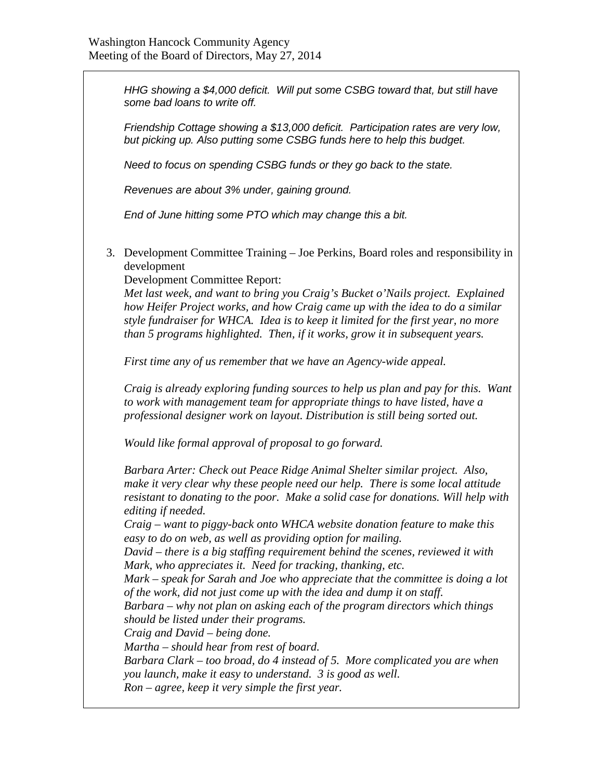*HHG showing a \$4,000 deficit. Will put some CSBG toward that, but still have some bad loans to write off.*

*Friendship Cottage showing a \$13,000 deficit. Participation rates are very low, but picking up. Also putting some CSBG funds here to help this budget.*

*Need to focus on spending CSBG funds or they go back to the state.*

*Revenues are about 3% under, gaining ground.*

*End of June hitting some PTO which may change this a bit.*

3. Development Committee Training – Joe Perkins, Board roles and responsibility in development

Development Committee Report:

*Met last week, and want to bring you Craig's Bucket o'Nails project. Explained how Heifer Project works, and how Craig came up with the idea to do a similar style fundraiser for WHCA. Idea is to keep it limited for the first year, no more than 5 programs highlighted. Then, if it works, grow it in subsequent years.*

*First time any of us remember that we have an Agency-wide appeal.*

*Craig is already exploring funding sources to help us plan and pay for this. Want to work with management team for appropriate things to have listed, have a professional designer work on layout. Distribution is still being sorted out.*

*Would like formal approval of proposal to go forward.*

*Barbara Arter: Check out Peace Ridge Animal Shelter similar project. Also, make it very clear why these people need our help. There is some local attitude resistant to donating to the poor. Make a solid case for donations. Will help with editing if needed.*

*Craig – want to piggy-back onto WHCA website donation feature to make this easy to do on web, as well as providing option for mailing.*

*David – there is a big staffing requirement behind the scenes, reviewed it with Mark, who appreciates it. Need for tracking, thanking, etc.*

*Mark – speak for Sarah and Joe who appreciate that the committee is doing a lot of the work, did not just come up with the idea and dump it on staff.*

*Barbara – why not plan on asking each of the program directors which things should be listed under their programs.*

*Craig and David – being done.*

*Martha – should hear from rest of board.*

*Barbara Clark – too broad, do 4 instead of 5. More complicated you are when you launch, make it easy to understand. 3 is good as well. Ron – agree, keep it very simple the first year.*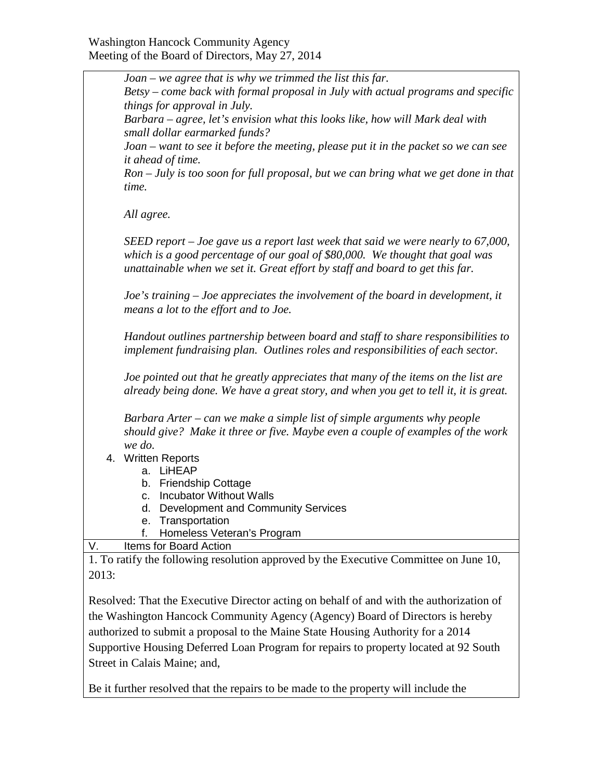|       | Joan – we agree that is why we trimmed the list this far.                                                                                                                                                                                                                                                                                                                                                                                                                                                                                                            |  |  |
|-------|----------------------------------------------------------------------------------------------------------------------------------------------------------------------------------------------------------------------------------------------------------------------------------------------------------------------------------------------------------------------------------------------------------------------------------------------------------------------------------------------------------------------------------------------------------------------|--|--|
|       | Betsy – come back with formal proposal in July with actual programs and specific<br>things for approval in July.<br>Barbara – agree, let's envision what this looks like, how will Mark deal with<br>small dollar earmarked funds?                                                                                                                                                                                                                                                                                                                                   |  |  |
|       |                                                                                                                                                                                                                                                                                                                                                                                                                                                                                                                                                                      |  |  |
|       | Joan – want to see it before the meeting, please put it in the packet so we can see<br>it ahead of time.                                                                                                                                                                                                                                                                                                                                                                                                                                                             |  |  |
|       | $R$ on $-$ July is too soon for full proposal, but we can bring what we get done in that<br>time.                                                                                                                                                                                                                                                                                                                                                                                                                                                                    |  |  |
|       | All agree.<br>SEED report – Joe gave us a report last week that said we were nearly to 67,000,<br>which is a good percentage of our goal of \$80,000. We thought that goal was<br>unattainable when we set it. Great effort by staff and board to get this far.<br>Joe's training – Joe appreciates the involvement of the board in development, it<br>means a lot to the effort and to Joe.<br>Handout outlines partnership between board and staff to share responsibilities to<br>implement fundraising plan. Outlines roles and responsibilities of each sector. |  |  |
|       |                                                                                                                                                                                                                                                                                                                                                                                                                                                                                                                                                                      |  |  |
|       |                                                                                                                                                                                                                                                                                                                                                                                                                                                                                                                                                                      |  |  |
|       |                                                                                                                                                                                                                                                                                                                                                                                                                                                                                                                                                                      |  |  |
|       | Joe pointed out that he greatly appreciates that many of the items on the list are<br>already being done. We have a great story, and when you get to tell it, it is great.                                                                                                                                                                                                                                                                                                                                                                                           |  |  |
|       | Barbara Arter – can we make a simple list of simple arguments why people<br>should give? Make it three or five. Maybe even a couple of examples of the work                                                                                                                                                                                                                                                                                                                                                                                                          |  |  |
|       | we do.                                                                                                                                                                                                                                                                                                                                                                                                                                                                                                                                                               |  |  |
|       | 4. Written Reports<br>LiHEAP<br>a.                                                                                                                                                                                                                                                                                                                                                                                                                                                                                                                                   |  |  |
|       | <b>Friendship Cottage</b><br>b.                                                                                                                                                                                                                                                                                                                                                                                                                                                                                                                                      |  |  |
|       | <b>Incubator Without Walls</b><br>c.                                                                                                                                                                                                                                                                                                                                                                                                                                                                                                                                 |  |  |
|       | d. Development and Community Services                                                                                                                                                                                                                                                                                                                                                                                                                                                                                                                                |  |  |
|       | e. Transportation                                                                                                                                                                                                                                                                                                                                                                                                                                                                                                                                                    |  |  |
|       | Homeless Veteran's Program<br>f.                                                                                                                                                                                                                                                                                                                                                                                                                                                                                                                                     |  |  |
| V.    | Items for Board Action                                                                                                                                                                                                                                                                                                                                                                                                                                                                                                                                               |  |  |
| 2013: | 1. To ratify the following resolution approved by the Executive Committee on June 10,                                                                                                                                                                                                                                                                                                                                                                                                                                                                                |  |  |
|       |                                                                                                                                                                                                                                                                                                                                                                                                                                                                                                                                                                      |  |  |
|       | Resolved: That the Executive Director acting on behalf of and with the authorization of<br>the Weshington Hangoak Community Agency (Agency) Board of Dimectors is hander                                                                                                                                                                                                                                                                                                                                                                                             |  |  |

the Washington Hancock Community Agency (Agency) Board of Directors is hereby authorized to submit a proposal to the Maine State Housing Authority for a 2014 Supportive Housing Deferred Loan Program for repairs to property located at 92 South Street in Calais Maine; and,

Be it further resolved that the repairs to be made to the property will include the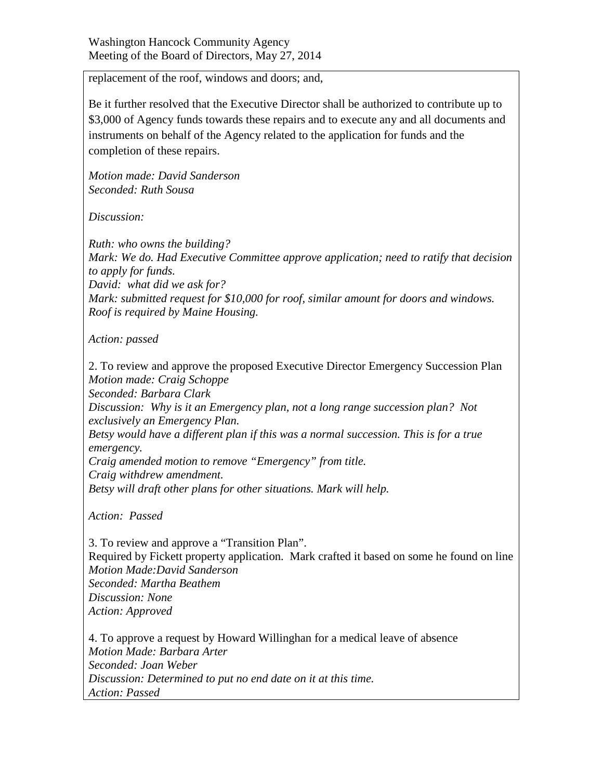replacement of the roof, windows and doors; and,

Be it further resolved that the Executive Director shall be authorized to contribute up to \$3,000 of Agency funds towards these repairs and to execute any and all documents and instruments on behalf of the Agency related to the application for funds and the completion of these repairs.

*Motion made: David Sanderson Seconded: Ruth Sousa*

*Discussion:* 

*Ruth: who owns the building? Mark: We do. Had Executive Committee approve application; need to ratify that decision to apply for funds. David: what did we ask for? Mark: submitted request for \$10,000 for roof, similar amount for doors and windows. Roof is required by Maine Housing.*

*Action: passed*

2. To review and approve the proposed Executive Director Emergency Succession Plan *Motion made: Craig Schoppe Seconded: Barbara Clark Discussion: Why is it an Emergency plan, not a long range succession plan? Not exclusively an Emergency Plan. Betsy would have a different plan if this was a normal succession. This is for a true emergency. Craig amended motion to remove "Emergency" from title. Craig withdrew amendment. Betsy will draft other plans for other situations. Mark will help.*

*Action: Passed*

3. To review and approve a "Transition Plan". Required by Fickett property application. Mark crafted it based on some he found on line *Motion Made:David Sanderson Seconded: Martha Beathem Discussion: None Action: Approved*

4. To approve a request by Howard Willinghan for a medical leave of absence *Motion Made: Barbara Arter Seconded: Joan Weber Discussion: Determined to put no end date on it at this time. Action: Passed*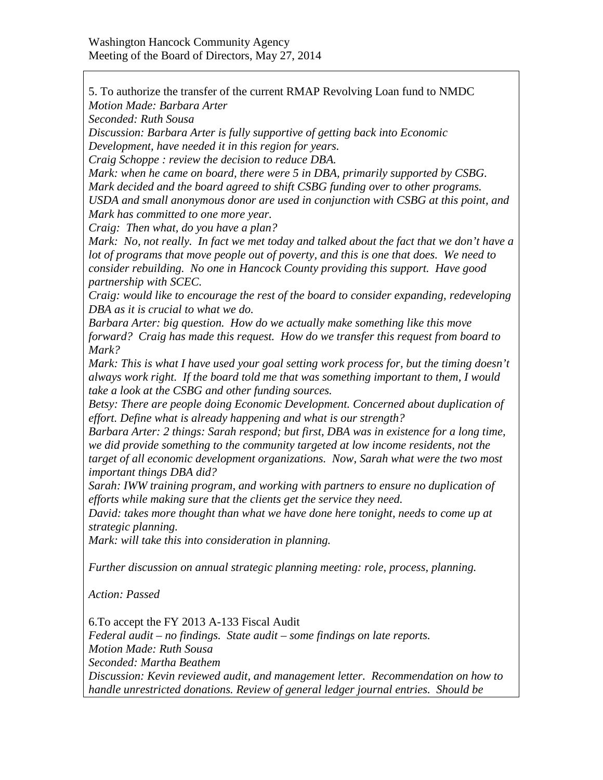5. To authorize the transfer of the current RMAP Revolving Loan fund to NMDC *Motion Made: Barbara Arter*

*Seconded: Ruth Sousa*

*Discussion: Barbara Arter is fully supportive of getting back into Economic Development, have needed it in this region for years.*

*Craig Schoppe : review the decision to reduce DBA.*

*Mark: when he came on board, there were 5 in DBA, primarily supported by CSBG. Mark decided and the board agreed to shift CSBG funding over to other programs. USDA and small anonymous donor are used in conjunction with CSBG at this point, and Mark has committed to one more year.*

*Craig: Then what, do you have a plan?*

*Mark: No, not really. In fact we met today and talked about the fact that we don't have a lot of programs that move people out of poverty, and this is one that does. We need to consider rebuilding. No one in Hancock County providing this support. Have good partnership with SCEC.*

*Craig: would like to encourage the rest of the board to consider expanding, redeveloping DBA as it is crucial to what we do.*

*Barbara Arter: big question. How do we actually make something like this move forward? Craig has made this request. How do we transfer this request from board to Mark?* 

*Mark: This is what I have used your goal setting work process for, but the timing doesn't always work right. If the board told me that was something important to them, I would take a look at the CSBG and other funding sources.*

*Betsy: There are people doing Economic Development. Concerned about duplication of effort. Define what is already happening and what is our strength?*

*Barbara Arter: 2 things: Sarah respond; but first, DBA was in existence for a long time, we did provide something to the community targeted at low income residents, not the target of all economic development organizations. Now, Sarah what were the two most important things DBA did?*

*Sarah: IWW training program, and working with partners to ensure no duplication of efforts while making sure that the clients get the service they need.*

*David: takes more thought than what we have done here tonight, needs to come up at strategic planning.*

*Mark: will take this into consideration in planning.*

*Further discussion on annual strategic planning meeting: role, process, planning.*

*Action: Passed*

6.To accept the FY 2013 A-133 Fiscal Audit *Federal audit – no findings. State audit – some findings on late reports. Motion Made: Ruth Sousa Seconded: Martha Beathem Discussion: Kevin reviewed audit, and management letter. Recommendation on how to handle unrestricted donations. Review of general ledger journal entries. Should be*